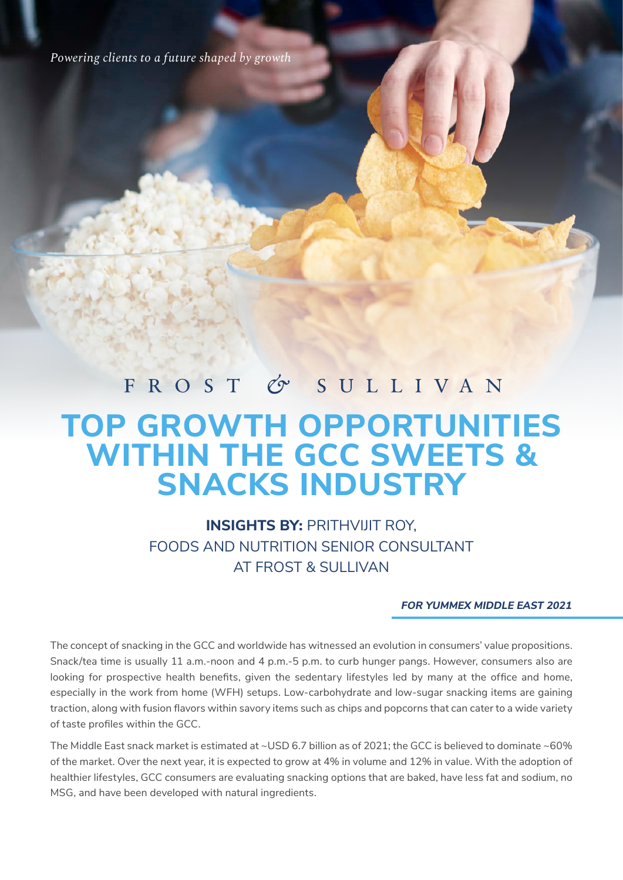*Powering clients to a future shaped by growth*

### FROST & SULLIVAN

# **TOP GROWTH OPPORTUNITIES WITHIN THE GCC SWEETS & SNACKS INDUSTRY**

### **INSIGHTS BY:** PRITHVIJIT ROY, FOODS AND NUTRITION SENIOR CONSULTANT AT FROST & SULLIVAN

#### **FOR YUMMEX MIDDLE EAST 2021**

The concept of snacking in the GCC and worldwide has witnessed an evolution in consumers' value propositions. Snack/tea time is usually 11 a.m.-noon and 4 p.m.-5 p.m. to curb hunger pangs. However, consumers also are looking for prospective health benefits, given the sedentary lifestyles led by many at the office and home, especially in the work from home (WFH) setups. Low-carbohydrate and low-sugar snacking items are gaining traction, along with fusion flavors within savory items such as chips and popcorns that can cater to a wide variety of taste profiles within the GCC.

The Middle East snack market is estimated at ~USD 6.7 billion as of 2021; the GCC is believed to dominate ~60% of the market. Over the next year, it is expected to grow at 4% in volume and 12% in value. With the adoption of healthier lifestyles, GCC consumers are evaluating snacking options that are baked, have less fat and sodium, no MSG, and have been developed with natural ingredients.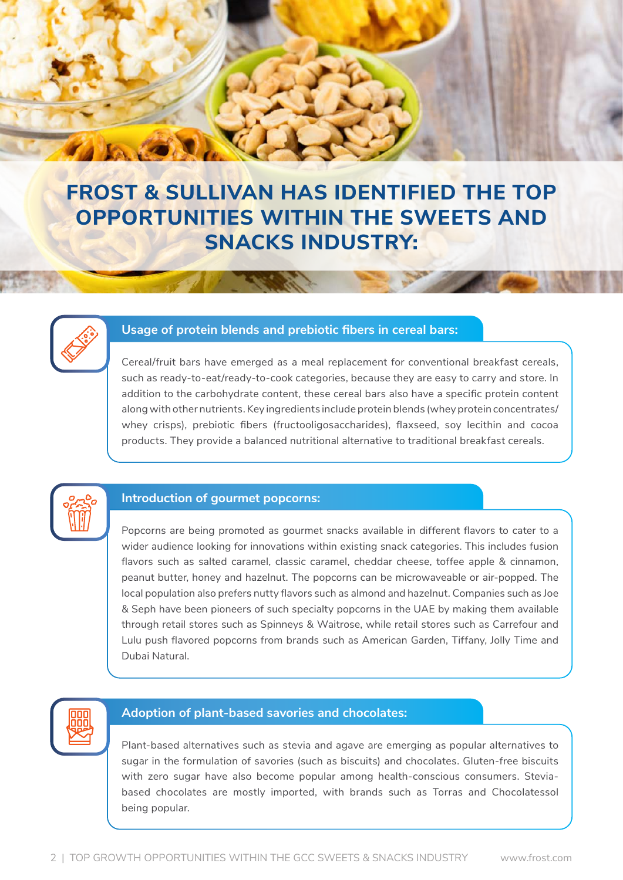

## **FROST & SULLIVAN HAS IDENTIFIED THE TOP OPPORTUNITIES WITHIN THE SWEETS AND SNACKS INDUSTRY:**



#### **Usage of protein blends and prebiotic fibers in cereal bars:**

Cereal/fruit bars have emerged as a meal replacement for conventional breakfast cereals, such as ready-to-eat/ready-to-cook categories, because they are easy to carry and store. In addition to the carbohydrate content, these cereal bars also have a specific protein content along with other nutrients. Key ingredients include protein blends (whey protein concentrates/ whey crisps), prebiotic fibers (fructooligosaccharides), flaxseed, soy lecithin and cocoa products. They provide a balanced nutritional alternative to traditional breakfast cereals.



#### **Introduction of gourmet popcorns:**

Popcorns are being promoted as gourmet snacks available in different flavors to cater to a wider audience looking for innovations within existing snack categories. This includes fusion flavors such as salted caramel, classic caramel, cheddar cheese, toffee apple & cinnamon, peanut butter, honey and hazelnut. The popcorns can be microwaveable or air-popped. The local population also prefers nutty flavors such as almond and hazelnut. Companies such as Joe & Seph have been pioneers of such specialty popcorns in the UAE by making them available through retail stores such as Spinneys & Waitrose, while retail stores such as Carrefour and Lulu push flavored popcorns from brands such as American Garden, Tiffany, Jolly Time and Dubai Natural.



#### **Adoption of plant-based savories and chocolates:**

Plant-based alternatives such as stevia and agave are emerging as popular alternatives to sugar in the formulation of savories (such as biscuits) and chocolates. Gluten-free biscuits with zero sugar have also become popular among health-conscious consumers. Steviabased chocolates are mostly imported, with brands such as Torras and Chocolatessol being popular.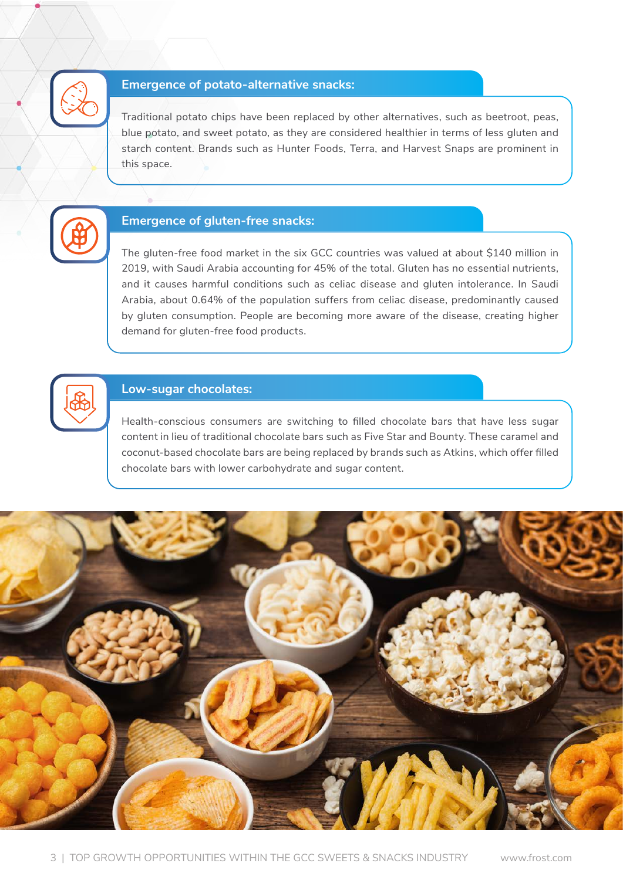

#### **Emergence of potato-alternative snacks:**

Traditional potato chips have been replaced by other alternatives, such as beetroot, peas, blue potato, and sweet potato, as they are considered healthier in terms of less gluten and starch content. Brands such as Hunter Foods, Terra, and Harvest Snaps are prominent in this space.



#### **Emergence of gluten-free snacks:**

The gluten-free food market in the six GCC countries was valued at about \$140 million in 2019, with Saudi Arabia accounting for 45% of the total. Gluten has no essential nutrients, and it causes harmful conditions such as celiac disease and gluten intolerance. In Saudi Arabia, about 0.64% of the population suffers from celiac disease, predominantly caused by gluten consumption. People are becoming more aware of the disease, creating higher demand for gluten-free food products.



#### **Low-sugar chocolates:**

Health-conscious consumers are switching to filled chocolate bars that have less sugar content in lieu of traditional chocolate bars such as Five Star and Bounty. These caramel and coconut-based chocolate bars are being replaced by brands such as Atkins, which offer filled chocolate bars with lower carbohydrate and sugar content.

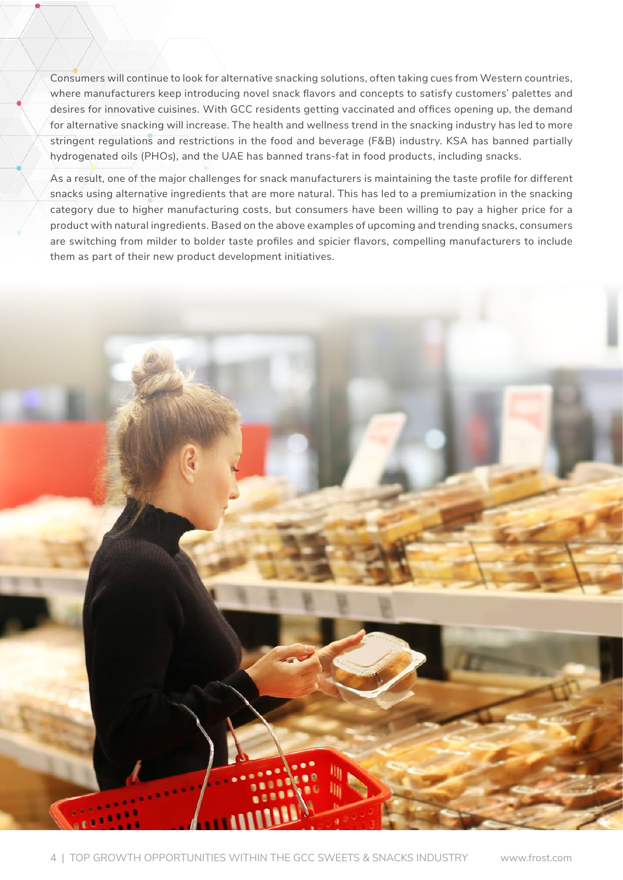Consumers will continue to look for alternative snacking solutions, often taking cues from Western countries, where manufacturers keep introducing novel snack flavors and concepts to satisfy customers' palettes and desires for innovative cuisines. With GCC residents getting vaccinated and offices opening up, the demand for alternative snacking will increase. The health and wellness trend in the snacking industry has led to more stringent regulations and restrictions in the food and beverage (F&B) industry. KSA has banned partially hydrogenated oils (PHOs), and the UAE has banned trans-fat in food products, including snacks.

As a result, one of the major challenges for snack manufacturers is maintaining the taste profile for different snacks using alternative ingredients that are more natural. This has led to a premiumization in the snacking category due to higher manufacturing costs, but consumers have been willing to pay a higher price for a product with natural ingredients. Based on the above examples of upcoming and trending snacks, consumers are switching from milder to bolder taste profiles and spicier flavors, compelling manufacturers to include them as part of their new product development initiatives.